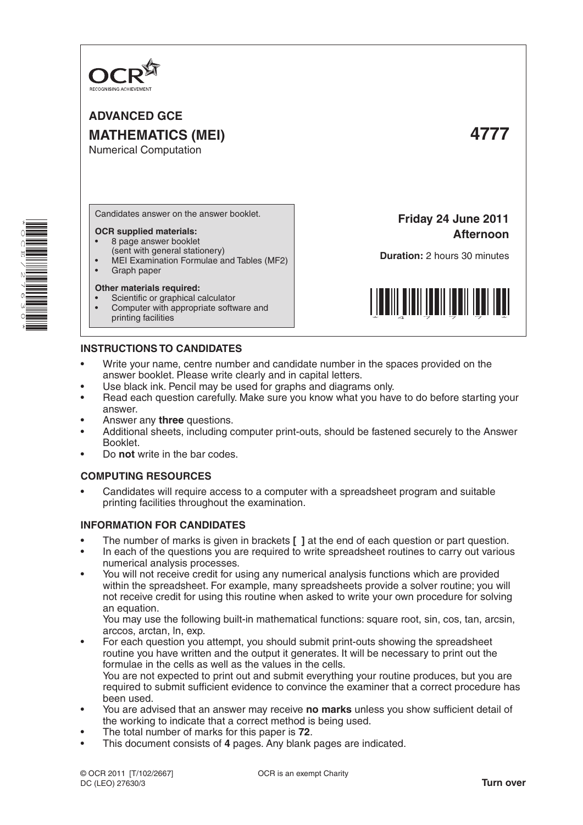

**ADVANCED GCE MATHEMATICS (MEI) 4777** Numerical Computation

**Afternoon**

**Friday 24 June 2011**

**Duration:** 2 hours 30 minutes

\* 4 7 7 7 \*

Candidates answer on the answer booklet.

### **OCR supplied materials:**

- 8 page answer booklet
- (sent with general stationery)
- MEI Examination Formulae and Tables (MF2)
- Graph paper

### **Other materials required:**

- Scientific or graphical calculator
- Computer with appropriate software and printing facilities

**INSTRUCTIONS TO CANDIDATES**

- Write your name, centre number and candidate number in the spaces provided on the answer booklet. Please write clearly and in capital letters.
- Use black ink. Pencil may be used for graphs and diagrams only.
- Read each question carefully. Make sure you know what you have to do before starting your answer.
- Answer any **three** questions.
- Additional sheets, including computer print-outs, should be fastened securely to the Answer Booklet.
- Do **not** write in the bar codes.

# **COMPUTING RESOURCES**

Candidates will require access to a computer with a spreadsheet program and suitable printing facilities throughout the examination.

# **INFORMATION FOR CANDIDATES**

- The number of marks is given in brackets [ ] at the end of each question or part question.
- In each of the questions you are required to write spreadsheet routines to carry out various numerical analysis processes.
- You will not receive credit for using any numerical analysis functions which are provided within the spreadsheet. For example, many spreadsheets provide a solver routine; you will not receive credit for using this routine when asked to write your own procedure for solving an equation.

 You may use the following built-in mathematical functions: square root, sin, cos, tan, arcsin, arccos, arctan, ln, exp.

For each question you attempt, you should submit print-outs showing the spreadsheet routine you have written and the output it generates. It will be necessary to print out the formulae in the cells as well as the values in the cells.

 You are not expected to print out and submit everything your routine produces, but you are required to submit sufficient evidence to convince the examiner that a correct procedure has been used.

- You are advised that an answer may receive no marks unless you show sufficient detail of the working to indicate that a correct method is being used.
- The total number of marks for this paper is **72**.
- This document consists of 4 pages. Any blank pages are indicated.

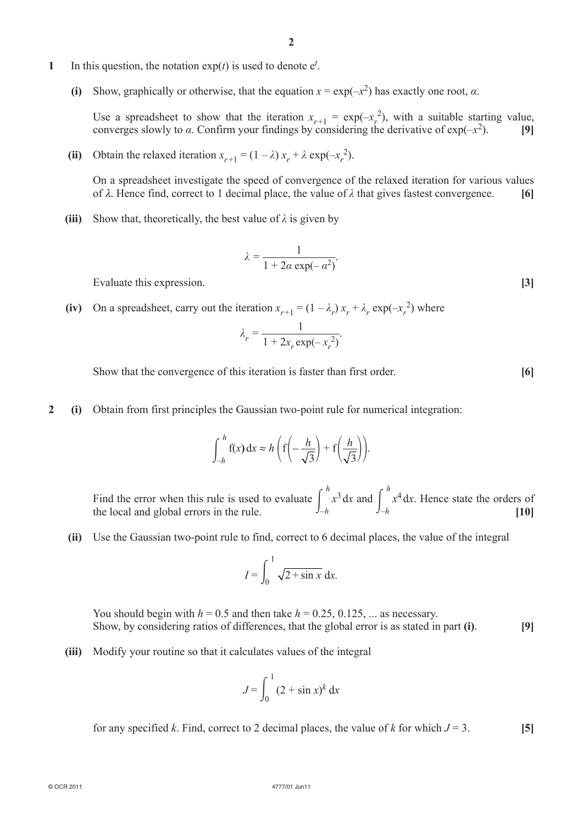- **1** In this question, the notation  $exp(t)$  is used to denote  $e^t$ .
	- **(i)** Show, graphically or otherwise, that the equation  $x = \exp(-x^2)$  has exactly one root,  $\alpha$ .

Use a spreadsheet to show that the iteration  $x_{r+1} = \exp(-x_r^2)$ , with a suitable starting value, converges slowly to *α*. Confirm your findings by considering the derivative of  $exp(-x^2)$ . [9]

(ii) Obtain the relaxed iteration  $x_{r+1} = (1 - \lambda) x_r + \lambda \exp(-x_r^2)$ .

On a spreadsheet investigate the speed of convergence of the relaxed iteration for various values of λ. Hence find, correct to 1 decimal place, the value of *λ* that gives fastest convergence. **[6]**

**(iii)** Show that, theoretically, the best value of  $\lambda$  is given by

$$
\lambda = \frac{1}{1 + 2\alpha \exp(-\alpha^2)}.
$$

**Evaluate this expression. [3] [3]** 

(iv) On a spreadsheet, carry out the iteration  $x_{r+1} = (1 - \lambda_r)x_r + \lambda_r \exp(-x_r^2)$  where

$$
\lambda_r = \frac{1}{1 + 2x_r \exp(-x_r^2)}.
$$

Show that the convergence of this iteration is faster than first order. **[6]** 

*λr*

**2 (i)** Obtain from first principles the Gaussian two-point rule for numerical integration:

$$
\int_{-h}^{h} f(x) dx \approx h \left( f \left( -\frac{h}{\sqrt{3}} \right) + f \left( \frac{h}{\sqrt{3}} \right) \right).
$$

Find the error when this rule is used to evaluate  $\int_{-h}^{h}$  $\int_{-h}^{h} x^3 dx$  and  $\int_{-h}^{h}$ *–h x*<sup>4</sup> d*x*. Hence state the orders of the local and global errors in the rule.  $J_{-h}$   $J_{-h}$  [10]

**(ii)** Use the Gaussian two-point rule to find, correct to 6 decimal places, the value of the integral

$$
I = \int_0^1 \sqrt{2 + \sin x} \, dx.
$$

You should begin with  $h = 0.5$  and then take  $h = 0.25, 0.125, \dots$  as necessary. Show, by considering ratios of differences, that the global error is as stated in part **(i)**. **[9]**

**(iii)** Modify your routine so that it calculates values of the integral

$$
J = \int_0^1 (2 + \sin x)^k dx
$$

for any specified *k*. Find, correct to 2 decimal places, the value of *k* for which  $J = 3$ . [5]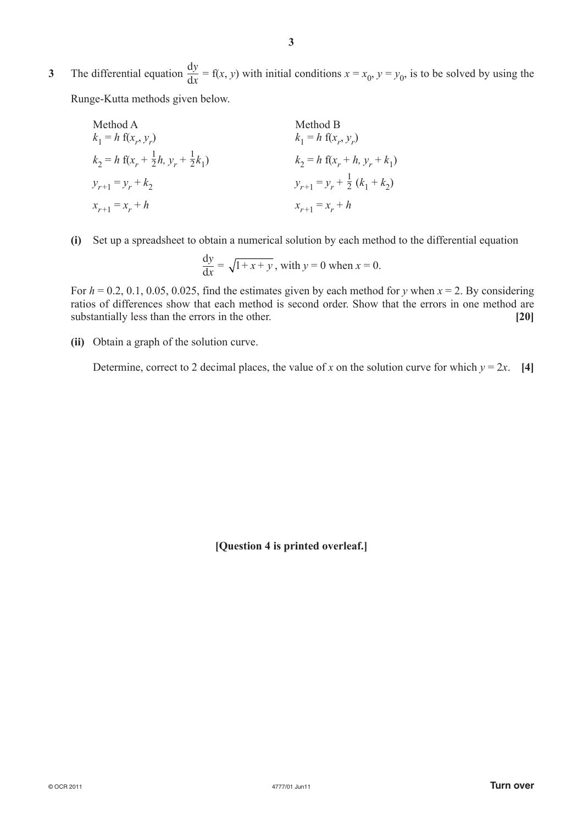**3** The differential equation  $\frac{dy}{dx} = f(x, y)$  with initial conditions  $x = x_0$ ,  $y = y_0$ , is to be solved by using the Runge-Kutta methods given below.

Method A Method B  $k_1 = h \text{ f}(x_r, y_r)$ )  $k_1 = h \text{ f}(x_r, y_r)$  $k_2 = h f(x_r + \frac{1}{2}h, y_r + \frac{1}{2})$  $k_2 = h f(x_r + h, y_r + k_1)$  $y_{r+1} = y_r + k_2$ +  $k_2$   $y_{r+1} = y_r + \frac{1}{2} (k_1 + k_2)$  $x_{r+1} = x_r + h$ + *h*  $x_{r+1} = x_r + h$ 

**(i)** Set up a spreadsheet to obtain a numerical solution by each method to the differential equation

$$
\frac{dy}{dx} = \sqrt{1 + x + y}
$$
, with  $y = 0$  when  $x = 0$ .

For  $h = 0.2, 0.1, 0.05, 0.025$ , find the estimates given by each method for *y* when  $x = 2$ . By considering ratios of differences show that each method is second order. Show that the errors in one method are substantially less than the errors in the other. **[20]** 

**(ii)** Obtain a graph of the solution curve.

Determine, correct to 2 decimal places, the value of *x* on the solution curve for which  $y = 2x$ . [4]

**[Question 4 is printed overleaf.]**